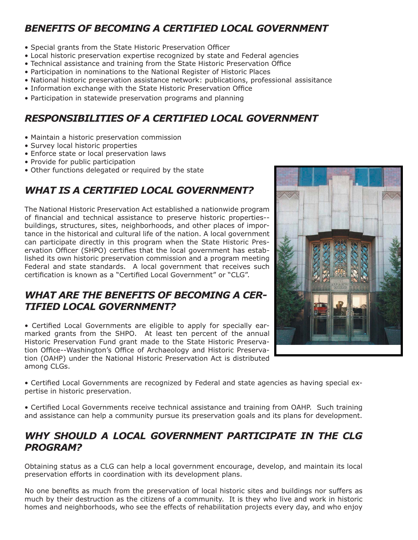# *BENEFITS OF BECOMING A CERTIFIED LOCAL GOVERNMENT*

- Special grants from the State Historic Preservation Officer
- Local historic preservation expertise recognized by state and Federal agencies
- Technical assistance and training from the State Historic Preservation Office
- Participation in nominations to the National Register of Historic Places
- National historic preservation assistance network: publications, professional assisitance
- Information exchange with the State Historic Preservation Office
- Participation in statewide preservation programs and planning

## *RESPONSIBILITIES OF A CERTIFIED LOCAL GOVERNMENT*

- Maintain a historic preservation commission
- Survey local historic properties
- Enforce state or local preservation laws
- Provide for public participation
- Other functions delegated or required by the state

# *WHAT IS A CERTIFIED LOCAL GOVERNMENT?*

The National Historic Preservation Act established a nationwide program of financial and technical assistance to preserve historic properties-buildings, structures, sites, neighborhoods, and other places of importance in the historical and cultural life of the nation. A local government can participate directly in this program when the State Historic Preservation Officer (SHPO) certifies that the local government has established its own historic preservation commission and a program meeting Federal and state standards. A local government that receives such certification is known as a "Certified Local Government" or "CLG".

#### *WHAT ARE THE BENEFITS OF BECOMING A CER-TIFIED LOCAL GOVERNMENT?*

• Certified Local Governments are eligible to apply for specially earmarked grants from the SHPO. At least ten percent of the annual Historic Preservation Fund grant made to the State Historic Preservation Office--Washington's Office of Archaeology and Historic Preservation (OAHP) under the National Historic Preservation Act is distributed among CLGs.



• Certified Local Governments are recognized by Federal and state agencies as having special expertise in historic preservation.

• Certified Local Governments receive technical assistance and training from OAHP. Such training and assistance can help a community pursue its preservation goals and its plans for development.

#### *WHY SHOULD A LOCAL GOVERNMENT PARTICIPATE IN THE CLG PROGRAM?*

Obtaining status as a CLG can help a local government encourage, develop, and maintain its local preservation efforts in coordination with its development plans.

No one benefits as much from the preservation of local historic sites and buildings nor suffers as much by their destruction as the citizens of a community. It is they who live and work in historic homes and neighborhoods, who see the effects of rehabilitation projects every day, and who enjoy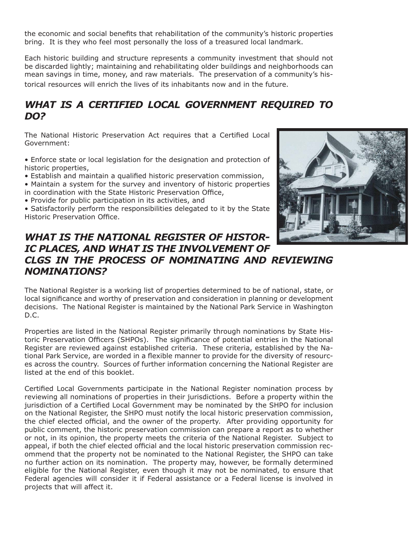the economic and social benefits that rehabilitation of the community's historic properties bring. It is they who feel most personally the loss of a treasured local landmark.

Each historic building and structure represents a community investment that should not be discarded lightly; maintaining and rehabilitating older buildings and neighborhoods can mean savings in time, money, and raw materials. The preservation of a community's historical resources will enrich the lives of its inhabitants now and in the future.

## *WHAT IS A CERTIFIED LOCAL GOVERNMENT REQUIRED TO DO?*

The National Historic Preservation Act requires that a Certified Local Government:

- Enforce state or local legislation for the designation and protection of historic properties,
- Establish and maintain a qualified historic preservation commission,
- Maintain a system for the survey and inventory of historic properties
- in coordination with the State Historic Preservation Office,
- Provide for public participation in its activities, and

• Satisfactorily perform the responsibilities delegated to it by the State Historic Preservation Office.

#### *WHAT IS THE NATIONAL REGISTER OF HISTOR-IC PLACES, AND WHAT IS THE INVOLVEMENT OF CLGS IN THE PROCESS OF NOMINATING AND REVIEWING NOMINATIONS?*

The National Register is a working list of properties determined to be of national, state, or local significance and worthy of preservation and consideration in planning or development decisions. The National Register is maintained by the National Park Service in Washington D.C.

Properties are listed in the National Register primarily through nominations by State Historic Preservation Officers (SHPOs). The significance of potential entries in the National Register are reviewed against established criteria. These criteria, established by the National Park Service, are worded in a flexible manner to provide for the diversity of resources across the country. Sources of further information concerning the National Register are listed at the end of this booklet.

Certified Local Governments participate in the National Register nomination process by reviewing all nominations of properties in their jurisdictions. Before a property within the jurisdiction of a Certified Local Government may be nominated by the SHPO for inclusion on the National Register, the SHPO must notify the local historic preservation commission, the chief elected official, and the owner of the property. After providing opportunity for public comment, the historic preservation commission can prepare a report as to whether or not, in its opinion, the property meets the criteria of the National Register. Subject to appeal, if both the chief elected official and the local historic preservation commission recommend that the property not be nominated to the National Register, the SHPO can take no further action on its nomination. The property may, however, be formally determined eligible for the National Register, even though it may not be nominated, to ensure that Federal agencies will consider it if Federal assistance or a Federal license is involved in projects that will affect it.